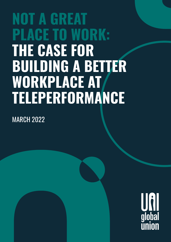## **NOT A GREAT PLACE TO WORK: THE CASE FOR BUILDING A BETTER**  WORKPLACE AT **TELEPERFORMANCE**

MARCH 2022

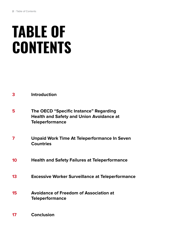# **TABLE OF CONTENTS**

- **The OECD "Specific Instance" Regarding Health and Safety and Union Avoidance at Teleperformance 5**
- **Unpaid Work Time At Teleperformance In Seven Countries 7**
- **Health and Safety Failures at Teleperformance 10**
- **Excessive Worker Surveillance at Teleperformance 13**
- **Avoidance of Freedom of Association at Teleperformance 15**
- **Conclusion 17**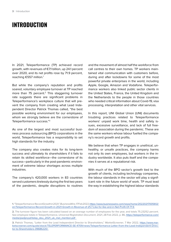## **INTRODUCTION**

In 2021, Teleperformance (TP) achieved record growth, with revenues of €7.1 billion, up 24.1 percent over 2020, and its net profits rose by 71.9 percent, reaching €557 million.1

But while the company's reputation and profits soared, voluntary employee turnover at TP reached more than 75 percent.<sup>2</sup> This staggering turnover rate suggests there are significant problems in Teleperformance's workplace culture that will prevent the company from creating what Lead Independent Director Patrick Thomas called, "the best possible working environment for our employees, whom we strongly believe are the cornerstone of Teleperformance success."3

As one of the largest and most successful business process outsourcing (BPO) corporations in the world, Teleperformance has a responsibility to set high standards for the industry.

The company also creates risks for its long-term success and ultimately its shareholders if it fails to retain its skilled workforce—the cornerstone of its success—particularly in the post-pandemic environment of extreme labour shortages across multiple industries.

The company's 420,000 workers in 83 countries served customers tirelessly during the first two years of the pandemic, despite disruptions to routines

and the movement of almost half the workforce from call centres to their own homes. TP workers maintained vital communication with customers before, during and after lockdowns for some of the most powerful private enterprises in the world, including Apple, Google, Amazon and Vodafone. Teleperformance workers also linked public sector clients in the United States, France, the United Kingdom and the Netherlands to the people in those countries who needed critical information about Covid-19, visa processing, interpretation and other vital services.

In this report, UNI Global Union (UNI) documents troubling practices related to Teleperformance workers' unpaid work time, health and safety issues, excessive surveillance, and lack of full freedom of association during the pandemic. These are the same workers whose labour fuelled the company's record growth and profits.

We believe that when TP engages in unethical, unhealthy, or unsafe practices, the company harms not only its own employees, but workers in the industry worldwide. It also puts itself and the companies it serves at a reputational risk.

With much of the BPO sector's growth tied to the growth of clients, including technology companies, the labour standards in the sector will play a significant role in the future world of work. TP must lead the way in establishing the highest labour standards

**<sup>1.</sup>** "Teleperformance: Record Growth in 2021," BusinessWire, 17 Feb 2022, [https://www.businesswire.com/news/home/20220217005612/](https://www.businesswire.com/news/home/20220217005612/en/Teleperformance-Record-Growth-in-2021-Growth-in-Revenue-of-25.7-Like-for-like-and-in-Net-Profit-Of-71.9.) [en/Teleperformance-Record-Growth-in-2021-Growth-in-Revenue-of-25.7-Like-for-like-and-in-Net-Profit-Of-71.9.](https://www.businesswire.com/news/home/20220217005612/en/Teleperformance-Record-Growth-in-2021-Growth-in-Revenue-of-25.7-Like-for-like-and-in-Net-Profit-Of-71.9.)

**<sup>2.</sup>** The turnover figure has been calculated based on an average number of employees for the year, and totals 75.23252 percent. See employee totals in Teleperformance, Universal Registration Document, 2021, 28 Feb 2022, p. 86, [https://teleperformance.com/](https://teleperformance.com/media/pwdpryyd/telep_deu_2021_uk_mel_mention.pdf  ) [media/pwdpryyd/telep\\_deu\\_2021\\_uk\\_mel\\_mention.pdf](https://teleperformance.com/media/pwdpryyd/telep_deu_2021_uk_mel_mention.pdf  ) 

**<sup>3.</sup>** Patrick Thomas, "Letter from the Lead Independent Director to Shareholders," MarketScreener, 7 Mar 2022, [https://www.mar](https://www.marketscreener.com/quote/stock/TELEPERFORMANCE-SE-4709/news/Teleperformance-Letter-from-the-Lead-Independent-Director-to-Shareholders-39686220/.)[ketscreener.com/quote/stock/TELEPERFORMANCE-SE-4709/news/Teleperformance-Letter-from-the-Lead-Independent-Direc](https://www.marketscreener.com/quote/stock/TELEPERFORMANCE-SE-4709/news/Teleperformance-Letter-from-the-Lead-Independent-Director-to-Shareholders-39686220/.)[tor-to-Shareholders-39686220/.](https://www.marketscreener.com/quote/stock/TELEPERFORMANCE-SE-4709/news/Teleperformance-Letter-from-the-Lead-Independent-Director-to-Shareholders-39686220/.)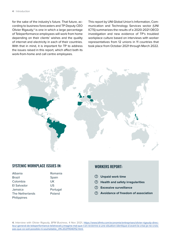for the sake of the industry's future. That future, according to business forecasters and TP Deputy CEO Olivier Rigaudy,<sup>4</sup> is one in which a large percentage of Teleperformance employees will work from home depending on their clients' wishes and the quality of internet and electricity in each of their countries. With that in mind, it is important for TP to address the issues raised in this report, which affect both its work-from-home and call centre employees.

This report by UNI Global Union's Information, Communication and Technology Services sector (UNI ICTS) summarizes the results of a 2020-2021 OECD investigation and new evidence of TP's troubled workplace culture based on interviews with worker representatives from 12 unions in 11 countries that took place from October 2021 through March 2022.



#### SYSTEMIC WORKPLACE ISSUES IN: WORKERS REPORT:

| Albania         | Romania  |
|-----------------|----------|
| Brazil          | Spain    |
| Colombia        | UK       |
| El Salvador     | US       |
| Jamaica         | Portugal |
| The Netherlands | Poland   |
| Philippines     |          |

- **Unpaid work time**
- **Health and safety irregularities**
- **Excessive surveillance**
- **Avoidance of freedom of association**

**4.** Interview with Olivier Rigaudy, BFM Business, 4 Nov 2021, [https://www.bfmtv.com/economie/entreprises/olivier-rigaudy-direc](https://www.bfmtv.com/economie/entreprises/olivier-rigaudy-directeur-general-de-teleperformance-teletravail-j-imagine-mal-que-l-on-revienne-a-une-situation-identique-d-avant-la-crise-je-ne-crois-pas-que-ce-soit-possible-ni-souhaitable_VN-202111040112.html)[teur-general-de-teleperformance-teletravail-j-imagine-mal-que-l-on-revienne-a-une-situation-identique-d-avant-la-crise-je-ne-crois](https://www.bfmtv.com/economie/entreprises/olivier-rigaudy-directeur-general-de-teleperformance-teletravail-j-imagine-mal-que-l-on-revienne-a-une-situation-identique-d-avant-la-crise-je-ne-crois-pas-que-ce-soit-possible-ni-souhaitable_VN-202111040112.html)[pas-que-ce-soit-possible-ni-souhaitable\\_VN-202111040112.html.](https://www.bfmtv.com/economie/entreprises/olivier-rigaudy-directeur-general-de-teleperformance-teletravail-j-imagine-mal-que-l-on-revienne-a-une-situation-identique-d-avant-la-crise-je-ne-crois-pas-que-ce-soit-possible-ni-souhaitable_VN-202111040112.html)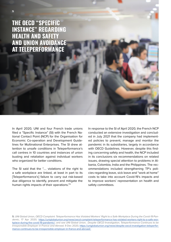**THE OECD "SPECIFIC INSTANCE" REGARDING HEALTH AND SAFETY AND UNION AVOIDANCE AT TELEPERFORMANCE**

In April 2020, UNI and four French trade unions filed a "Specific Instance" (SI) with the French National Contact Point (NCP) for the Organisation for Economic Co-operation and Development Guidelines for Multinational Enterprises. The SI drew attention to unsafe conditions in Teleperformance's call centres in 10 countries and instances of union busting and retaliation against individual workers who organized for better conditions.

The SI said that the "…. violations of the right to a safe workplace are linked, at least in part to its [Teleperformance's] failure to carry out risk-based due diligence to identify, prevent and mitigate the human rights impacts of their operations."5

In response to the SI of April 2020, the French NCP conducted an extensive investigation and concluded in July 2021 that the company had implemented policies to prevent, manage and monitor the pandemic in its subsidiaries, largely in accordance with OECD Guidelines. However, despite this finding concerning safety and health, the NCP included in its conclusions six recommendations on related issues, drawing special attention to problems in Albania, Colombia, India and the Philippines. The recommendations included strengthening TP's policies regarding leave, sick leave and "work at home" costs to take into account Covid-19's impacts and to improve workers' representation on health and safety committees.

**5.** UNI Global Union, OECD Complaint: Teleperformance Has Violated Workers' Right to a Safe Workplace During the Covid-19 Pandemic, 17 Apr 2020, [https://uniglobalunion.org/news/oecd-complaint-teleperformance-has-violated-workers-right-to-a-safe-wor](https://uniglobalunion.org/news/oecd-complaint-teleperformance-has-violated-workers-right-to-a-safe-workplace-during-the-covid-19-pandemic/)[kplace-during-the-covid-19-pandemic/](https://uniglobalunion.org/news/oecd-complaint-teleperformance-has-violated-workers-right-to-a-safe-workplace-during-the-covid-19-pandemic/); and see UNI Global Union, Despite OECD Investigation, Teleperformance Continues to be Irresponsible Employer in France and Abroad, 9 Dec 2020, [https://uniglobalunion.org/news/despite-oecd-investigation-teleperfor](https://uniglobalunion.org/news/despite-oecd-investigation-teleperformance-continues-to-be-irresponsible-employer-in-france-and-abroad/.)[mance-continues-to-be-irresponsible-employer-in-france-and-abroad/.](https://uniglobalunion.org/news/despite-oecd-investigation-teleperformance-continues-to-be-irresponsible-employer-in-france-and-abroad/.)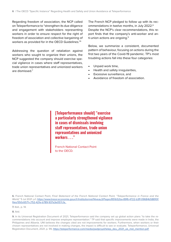Regarding freedom of association, the NCP called on Teleperformance to "strengthen its due diligence and engagement with stakeholders representing workers in order to ensure respect for the right of freedom of association and collective bargaining of workers as provided for in the OECD Guidelines."6

Addressing the question of retaliation against workers who sought to organize their unions, the NCP suggested the company should exercise special vigilance in cases where staff representatives, trade union representatives and unionized workers are dismissed.7

The French NCP pledged to follow up with its recommendations in twelve months, in July 2022.<sup>8</sup> Despite the NCP's clear recommendations, this report finds that the company's anti-worker and anti-union actions are ongoing.<sup>9</sup>

Below, we summarize a consistent, documented pattern of behaviour, focusing on actions during the first two years of the Covid-19 pandemic. TP's most troubling actions fall into these four categories:

- Unpaid work time,
- Health and safety irregularities,
- Excessive surveillance, and
- Avoidance of freedom of association.

[Teleperformance should] "exercise a particularly strengthened vigilance in cases of dismissals involving staff representatives, trade union representatives and unionized workers . . ."

French National Contact Point to the OECD.

**6.** French National Contact Point, Final Statement of the French National Contact Point, "Teleperformance in France and the World," 5 Jul 2021, p.1, [https://www.tresor.economie.gouv.fr/Institutionnel/Niveau3/Pages/851b52ba-89f6-4722-b3ff-09684b58810f/](https://www.tresor.economie.gouv.fr/Institutionnel/Niveau3/Pages/851b52ba-89f6-4722-b3ff-09684b58810f/files/550c6571-c752-421e-b789-937a3e057c1a. ) [files/550c6571-c752-421e-b789-937a3e057c1a.](https://www.tresor.economie.gouv.fr/Institutionnel/Niveau3/Pages/851b52ba-89f6-4722-b3ff-09684b58810f/files/550c6571-c752-421e-b789-937a3e057c1a. ) 

**7.** Ibid., p. 14.

**8.** Ibid.

**9.** In its Universal Registration Document of 2021, Teleperformance said the company set up global action plans "to take the recommendations into account and improve employee representation." TP said that specific improvements were made in India, the Philippines and Albania. UNI believes the changes cited are not improvements for workers. Furthermore, when workers or their chosen representatives are not involved in making changes, the impact is difficult to see or evaluate. Teleperformance, Universal Registration Document, 2021, p. 99, [https://teleperformance.com/media/pwdpryyd/telep\\_deu\\_2021\\_uk\\_mel\\_mention.pdf](https://teleperformance.com/media/pwdpryyd/telep_deu_2021_uk_mel_mention.pdf )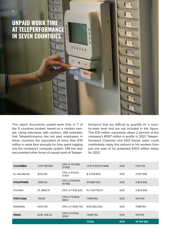## **UNPAID WORK TIME AT TELEPERFORMANCE IN SEVEN COUNTRIES**

**7** | Unpaid work time at Teleperformance in seven countries in seven countries in seven countries in seven countries

This report documents unpaid work time in 7 of the 11 countries studied, based on a random sample. Using interviews with workers, UNI estimates that Teleperformance has not paid employees in these countries the equivalent of more than €10 million in work time annually for time spent logging into the company's computer system. UNI has also documented other forms of unpaid work at Teleper-

formance that are difficult to quantify on a country-wide level and are not included in this figure. This €10 million represents about 2 percent of the company's €557 million in profits in 2021. Teleperformance Chairman and CEO Daniel Julien could comfortably repay this amount to his workers from just one year of his proposed €19.5 million salary for 2021.

| <b>COLOMBIA</b>    | COP 198'059    | (75% of 42'544)<br>31'908 | COP 6'319'570'848 | <b>EUR</b> | 1'517'210  |
|--------------------|----------------|---------------------------|-------------------|------------|------------|
| EL SALVADOR        | \$372,80       | (75% of 8'000)<br>6'000   | \$2'236'800       | <b>EUR</b> | 2'057'990  |
| <b>PHILIPPINES</b> | 3950.04        | (75% of 54'643)<br>40'982 | 161'880'539       | <b>EUR</b> | 2'823'940  |
| <b>POLAND</b>      | PL 1868.75     | (75% of 1'100) 825        | PL 1'541'718.75   | <b>EUR</b> | 2'823'940  |
| <b>PORTUGAL</b>    | 176,84         | (75% of 12'804)<br>9603   | 1'458'930         | <b>EUR</b> | 310'294    |
| <b>ROMANIA</b>     | <b>RON 910</b> | (75% of 1'000) 750        | RON 682,500       | <b>EUR</b> | 1'698'194  |
| <b>SPAIN</b>       | EUR: 536.25    | (75% of 4'000)<br>3000    | 1'608'750         | <b>EUR</b> | 137'974    |
|                    |                |                           | <b>TOTAL</b>      | <b>EUR</b> | 10'154'352 |

ı ð d

 $22222$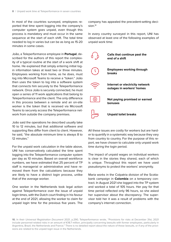In most of the countries surveyed, employees reported that time spent logging into the company's computer system goes unpaid, even though this process is mandatory and must occur in the same sequence at the start of each shift. The total time needed to log in varies but can be as long as 15-20 minutes in some cases.

João, a Teleperformance employee in **Portugal**, described for the authors of this report the complexity of a typical routine at the start of a work shift at home. He explained that simply entering initial login information takes at least two or three minutes. Employees working from home, as he does, must log into Microsoft Teams to receive a "token." João then uses the token to log into a software system that connects him securely to the Teleperformance network. Once João is securely connected, he must open a series of 11 work applications that belong to Teleperformance and the client. The only difference in this process between a remote and an on-site worker is the token that is received via Microsoft Teams to securely access the Teleperformance network from outside the company premises.

João said the operations he described usually take 10 to 12 minutes, but that additional software and supporting files differ from client to client. However, he said, "the absolute minimum time is always 8 to 12 minutes."

For the unpaid work calculation in the table above, UNI has conservatively calculated the time spent logging into the Teleperformance computer system per day as 10 minutes. Based on overall workforce numbers, we have estimated that 25 percent of TP staff is managerial or administrative and have removed them from the calculations because they are likely to have a distinct login process, unlike that of the average worker.

One worker in the Netherlands took legal action against Teleperformance over the issue of unpaid login times, with the Dutch court finding in his favour at the end of 2021, allowing the worker to claim for unpaid login time for the previous five years. The

company has appealed the precedent-setting decision.<sup>10</sup>

In every country surveyed in this report, UNI has observed at least one of the following examples of unpaid work time:



All these issues are costly for workers but are harder to quantify in a systematic way because they vary from country to country. For the purpose of this report, we have chosen to calculate only unpaid work time during the login period.

The impact of unpaid wages on individual workers is clear in the stories they shared, each of which is unique. Throughout this report we have used pseudonyms to protect the workers' anonymity.

Maria works in the Colpatria division of the Scotiabank campaign in **Colombia** on a temporary contract. In August 2021 she logged into the TP system and worked a total of 105 hours. Her pay for that time period reflected only 96 hours, so she asked her supervisor about the discrepancy. The supervisor told her it was a result of problems with the company's internet connection.

**10.** In their Universal Registration Document 2021, p.290, Teleperformance wrote, "Provisions for risks at December 31st, 2021 include personnel-related risks in an amount of €18.7 million, principally concerning lawsuits with former employees, particularly in Argentina, Brazil, the Netherlands and France." There is no detailed report about the nature of these lawsuits, or if any of the provisions are related to the unpaid login issue in the Netherlands.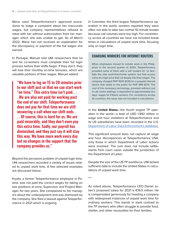Maria used Teleperformance's approved procedures to lodge a complaint about her inaccurate wages, but company representatives refused to meet with her without authorization from her manager, which she was unable to get. As of March 2022, Maria has not received an explanation for the discrepancy or payment of the full wages she earned.

In Portugal, Manuel told UNI researchers that he and his co-workers must complete their full login process before their shifts begin. If they don't, they will lose their monthly on-time bonuses, which are valuable portions of their wages. Manuel added:

"We have to log on 15 to 20 minutes prior to our shift just so that we can start work "on time." This extra time isn't paid. . . . We are also not paid for working past the end of our shift. Teleperformance does not pay for that time we are still answering a call when our shift ends. . . . Of course, this is hard for us. We are paid miserably, and they don't even pay this extra time. Sadly, our payroll has diminished, and they just say it will stay this way. We have more work every day but no changes in the support that the company provides us."

Beyond the pervasive problem of unpaid login time, UNI researchers recorded a variety of issues related to unpaid work time. A few selected examples are discussed below:

Krysta, a former Teleperformance employee in Poland, was not paid the correct wages for taking on two positions at once, Supervisor and Project Manager, for two years. She complained to her managers about the underpayment and was dismissed by the company. She filed a lawsuit against Teleperformance in 2021 which is ongoing.

In Colombia, the third largest Teleperformance operation in the world, workers reported they were often not able to take two normal 10-minute breaks because call volumes were too high. For consistency across all countries we have not included break times in calculations of unpaid work time, focusing only on login time.

#### CHARGING WORKERS FOR INTERNET ROUTERS

When employees moved to remote work in the Philippines in the second quarter of 2020, Teleperformace provided some of them with a wifi modem kit to facilitate the new work-from-home system, but that access came at a high price that cut deeply into their wages. The company charged PHP 1500 (€26) for a prepaid internet device that retails to the public for PHP 999 (€17). The cost of this necessary technology, provided without cost in call centre settings, is equivalent to approximately two days' wages for Filipino workers. For consistency across all countries, this issue was not included in calculations.

In the **United States**—the fourth largest TP operation in the world—a total of USD 1.992 million in wage and hour violations at Teleperformance and its US subsidiaries have been recorded in the U.S. [Department of Labor Data Enforcement's database.](https://enforcedata.dol.gov/homePage.php)

This significant amount does not capture all wage and hour discrepancies at Teleperformance USA, only those in which Department of Labor actions were involved. The sum does not include settlements from court cases outside the jurisdiction of the Department of Labor.

Despite the size of the US TP workforce, UNI lacked sufficient data to include the United States in calculations of unpaid work time.

\*\*\*

As noted above, Teleperformance CEO Daniel Julien's proposed salary for 2021 is €19.5 million. He is compensated generously for heading a company with widespread instances of unpaid work time for ordinary workers. This stands in stark contrast to the TP workers who often struggle to provide food, shelter, and other necessities for their families.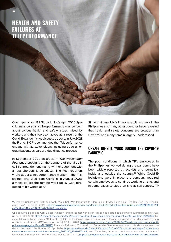## **HEALTH AND SAFETY FAILURES AT TELEPERFORMANCE**

One impetus for UNI Global Union's April 2020 Specific Instance against Teleperformance was concern about serious health and safety issues raised by workers and their representatives as a result of the Covid-19 pandemic. As discussed above, in July 2021, the French NCP recommended that Teleperformance engage with its stakeholders, including trade union organizations, as part of a due diligence process.

In September 2021, an article in The Washington Post put a spotlight on the dangers of the virus in call centres, demonstrating why engagement with all stakeholders is so critical. The Post reporters wrote about a Teleperformance worker in the Philippines who died from Covid-19 in August 2020, a week before the remote work policy was introduced at his workplace.<sup>11</sup>

Since that time, UNI's interviews with workers in the Philippines and many other countries have revealed that health and safety concerns are broader than Covid-19 and many remain largely unaddressed.

#### UNSAFE ON-SITE WORK DURING THE COVID-19 PANDEMIC

The poor conditions in which TP's employees in the **Philippines** worked during the pandemic have been widely reported by activists and journalists inside and outside the country.<sup>12</sup> While Covid-19 lockdowns were in place, the company required certain employees to continue working on site, and in some cases to sleep on site at call centres. TP

**11.** Regine Cabato and Nick Aspinwall, "Your Call Was Important to Glen Palaje. It May Have Cost Him His Life," The Washington Post, 9 Sept 2021, [https://www.washingtonpost.com/world/asia\\_pacific/covid-call-centers-philippines/2021/09/09/2af](https://www.washingtonpost.com/world/asia_pacific/covid-call-centers-philippines/2021/09/09/2afca61c-0a46-11ec-a7c8-61bb7b3bf628_story.html.)[ca61c-0a46-11ec-a7c8-61bb7b3bf628\\_story.html.](https://www.washingtonpost.com/world/asia_pacific/covid-call-centers-philippines/2021/09/09/2afca61c-0a46-11ec-a7c8-61bb7b3bf628_story.html.)

**12.** See Olivia Solon and April Glaser, "Amazon Ring call center workers in Philippines 'scared' to go to work during pandemic," NBC News, 15 Oct 2020, [https://www.nbcnews.com/tech/security/we-don-t-have-choice-amazon-ring-call-center-workers-n1243439;](https://www.nbcnews.com/tech/security/we-don-t-have-choice-amazon-ring-call-center-workers-n1243439) Michael Atkin and Laura Kewley, "Call centre staff in the Philippines have been sleeping at work during coronavirus lockdowns to help Australian customers," ABC News [Australia], 27 Apr 2020, [https://www.abc.net.au/news/2020-04-28/call-centre-workers-in-phili](https://www.abc.net.au/news/2020-04-28/call-centre-workers-in-philippines-sleeping-in-offices/12154842)[ppines-sleeping-in-offices/12154842;](https://www.abc.net.au/news/2020-04-28/call-centre-workers-in-philippines-sleeping-in-offices/12154842) Francine Aizicovici, "Coronavirus : l'entreprise Teleperformance accusée de mauvaises conditions de travail," Le Monde, 20 Apr 2020, [https://www.lemonde.fr/emploi/article/2020/04/20/coronavirus-teleperformance-ac](https://www.lemonde.fr/emploi/article/2020/04/20/coronavirus-teleperformance-accusee-de-mauvaises-conditions-de-travail_6037182_1698637.html)[cusee-de-mauvaises-conditions-de-travail\\_6037182\\_1698637.html](https://www.lemonde.fr/emploi/article/2020/04/20/coronavirus-teleperformance-accusee-de-mauvaises-conditions-de-travail_6037182_1698637.html); and Dave Lee, "Amazon contractors enduring 'subhuman' conditions in Philippines," The Financial Times, 1 Apr 2020,<https://www.ft.com/content/8b7bc787-4f33-4909-85f0-8df36d165b69.>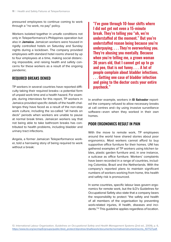pressured employees to continue coming to work through a "no work, no pay" policy.

Workers isolated together in unsafe conditions not only in Teleperformance's Philippines operation but also in **Jamaica**. Jamaican workers were housed in rigidly controlled hotels on Saturday and Sunday nights during a lockdown. The company provided employees with standard hotel rooms shared by up to four employees at a time, making social distancing impossible, and raising health and safety concerns for these workers as a result of the ongoing pandemic.

#### REQUIRED BREAKS DENIED

TP workers in several countries have reported difficulty taking their required breaks—a potential form of unpaid work time and a health hazard. For example, during interviews for this report, TP workers in Jamaica provided specific details of the health challenges they have faced as a result of the non-stop work culture, including the so-called "all hands on deck" periods when workers are unable to pause at normal break times. Jamaican workers say that not being able to take bathroom breaks has contributed to health problems, including bladder and urinary tract infections.

Angela, a former Jamaican Teleperformance worker, told a harrowing story of being required to work without a break:

"I've gone through 10-hour shifts where I did not get not even a 15-minute break. They're telling you "oh, we're understaffed at the moment." But you're understaffed reason being because you're underpaying. . . . They're overworking you. They're abusing you mentally. Because when you're telling me, a grown woman 36 years old, that I cannot get up to go and pee, that is not funny. . . . A lot of people complain about bladder infections. . . . Getting one case of bladder infection and going to the doctor costs your entire paycheck."

In another example, workers in **El Salvador** reported the company refused to allow necessary breaks at call centres and—by using invasive surveillance software—even when they worked in their own homes.

#### POOR ERGONOMICS RESULT IN PAIN

With the move to remote work, TP employees around the world have shared stories about poor ergonomics. Most workers cannot afford to buy supportive office furniture for their homes. UNI has gathered examples of TP workers using kitchen tables, plastic garden furniture and, in one instance, a suitcase as office furniture. Workers' complaints have been recorded in a range of countries, including Colombia, Brazil and the Netherlands. With the company's reported plans to maintain significant numbers of workers working from home, this health and safety risk is pronounced.

In some countries, specific labour laws govern ergonomics for remote work, but the ILO's Guidelines for Occupational Safety also state that a company bears the responsibility to protect "the safety and health of all members of the organisation by preventing work-related injuries, ill health, diseases and incidents."13 This guideline applies regardless of location.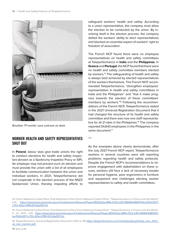

Brazilian TP worker uses suitcase as desk.

#### WORKER HEALTH AND SAFETY REPRESENTATIVES SHUT OUT

In **Poland**, labour laws give trade unions the right to conduct elections for health and safety inspectors (known as a Społeczny Inspektor Pracy or SIP). An employer may not prevent such an election and must provide the union with a list of all employees to facilitate communication between the union and individual workers. In 2021, Teleperformance did not cooperate in the election process of the NSZZ Solidarność Union, thereby impeding efforts to safeguard workers' health and safety. According to a union representative, the company must allow the election to be conducted by the union. By involving itself in the election process, the company defied the workers' ability to elect representatives and blocked an essential aspect of workers' right to freedom of association.

The French NCP found there were no employee representatives on health and safety committees at Teleperformance in **India** and the **Philippines**. In **Greece** and **Portugal**, the NCP found that there were no health and safety committee members elected by workers.<sup>14</sup> The safeguarding of health and safety is always best achieved by elected representatives of the workers themselves. The French NCP recommended Teleperformance, "strengthen employees' representation in health and safety committees in India and the Philippines" and "that it make progress towards the election of these committees' members by workers."15 Following the recommendations of the French NCP, Teleperformance stated in the 2021 Universal Registration Document that it had changed the structure of its health and safety committee and there was now one staff representative for all 21 sites in the Philippines.<sup>16</sup> The company reported 54,643 employees in the Philippines in the same document.<sup>17</sup>

\*\*\*

As the examples above clearly demonstrate, after the July 2021 French NCP report, Teleperformance workers in several countries were still reporting problems regarding health and safety protocols. Despite the French NCP's recommendations to improve engagement with stakeholders on these issues, workers still face a lack of necessary breaks for personal hygiene, poor ergonomics in furniture and equipment and challenges electing worker representatives to safety and health committees.

<sup>14.</sup> French National Contact Point, Final Statement of the French National Contact Point, "Teleperformance in France and the World," p.10, [https://www.tresor.economie.gouv.fr/Institutionnel/Niveau3/Pages/851b52ba-89f6-4722-b3ff-09684b58810f/files/550c6571](https://www.tresor.economie.gouv.fr/Institutionnel/Niveau3/Pages/851b52ba-89f6-4722-b3ff-09684b58810f/files/550c6571-c752-421e-b789-937a3e057c1a) [c752-421e-b789-937a3e057c1a](https://www.tresor.economie.gouv.fr/Institutionnel/Niveau3/Pages/851b52ba-89f6-4722-b3ff-09684b58810f/files/550c6571-c752-421e-b789-937a3e057c1a)

<sup>15.</sup> French National Contact Point, Final Statement of the French National Contact Point, "Teleperformance in France and the World," 5 Jul 2021, p.10, [https://www.tresor.economie.gouv.fr/Institutionnel/Niveau3/Pages/851b52ba-89f6-4722-b3ff-09684b58810f/fi](https://www.tresor.economie.gouv.fr/Institutionnel/Niveau3/Pages/851b52ba-89f6-4722-b3ff-09684b58810f/files/550c6571-c752-421e-b789-937a3e057c1a. )[les/550c6571-c752-421e-b789-937a3e057c1a.](https://www.tresor.economie.gouv.fr/Institutionnel/Niveau3/Pages/851b52ba-89f6-4722-b3ff-09684b58810f/files/550c6571-c752-421e-b789-937a3e057c1a. ) 

<sup>16.</sup> Teleperformance, Universal Registration Document, 2021, p. 99, [https://teleperformance.com/media/pwdpryyd/telep\\_deu\\_2021\\_](https://teleperformance.com/media/pwdpryyd/telep_deu_2021_uk_mel_mention.pdf. ) [uk\\_mel\\_mention.pdf.](https://teleperformance.com/media/pwdpryyd/telep_deu_2021_uk_mel_mention.pdf. )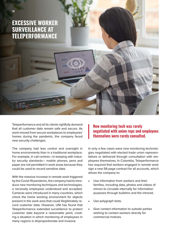**EXCESSIVE WORKER SURVEILLANCE AT TELEPERFORMANCE**

Teleperformance and all its clients rightfully demand that all customer data remain safe and secure. As work moved from secure workplaces to employees' homes during the pandemic, the company faced new security challenges.

The company had less control and oversight in home environments than in a traditional workplace. For example, in call centres—in keeping with industry security standards— mobile phones, pens and paper are not permitted in work areas because they could be used to record sensitive data.

With the massive increase in remote work triggered by the Covid-19 pandemic, the company had to introduce new monitoring techniques and technologies, a necessity employees understood and accepted. Cameras were introduced in many countries, which check the home working environment for objects present in the work area that could illegitimately record customer data. However, UNI has found that Teleperformance extended surveillance to protect customer data beyond a reasonable point, creating a situation in which monitoring of employees in many regions is disproportionate and invasive.

New monitoring tech was rarely negotiated with union reps and employees themselves were rarely consulted.

In only a few cases were new monitoring technologies negotiated with elected trade union representatives or delivered through consultation with employees themselves. In Colombia, Teleperformance has required that workers engaged in remote work sign a new 56-page contract for all accounts, which allows the company to:

- Use information from workers and their families, including data, photos and videos of minors to circulate internally for information purposes through bulletins and the intranet.
- Use polygraph tests.
- Give contact information to outside parties wishing to contact workers directly for commercial motives.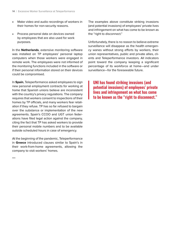- Make video and audio recordings of workers in their homes for non-security reasons.
- Process personal data on devices owned by employees that are also used for work purposes.

In the **Netherlands**, extensive monitoring software was installed on TP employees' personal laptop computers when those workers were engaged in remote work. The employees were not informed of the monitoring functions included in the software or if their personal information stored on their devices could be compromised.

In **Spain**, Teleperformance asked employees to sign new personal employment contracts for working at home that Spanish unions believe are inconsistent with the country's privacy regulations. The company requires that workers consent to inspections of their homes by TP officials, and many workers fear retaliation if they refuse. TP has so far refused to bargain over the substance or implementation of the new agreements. Spain's CCOO and UGT union federations have filed legal action against the company, citing the fact that TP has asked workers to provide their personal mobile numbers and to be available outside scheduled hours in case of emergency.

At the beginning of the pandemic, Teleperformance in **Greece** introduced clauses similar to Spain's in their work-from-home agreements, allowing the company to visit workers' homes.

\*\*\*

The examples above constitute striking invasions (and potential invasions) of employees' private lives and infringement on what has come to be known as the "right to disconnect."

Unfortunately, there is no reason to believe extreme surveillance will disappear as the health emergency wanes without strong efforts by workers, their union representatives, public and private allies, clients and Teleperformance investors. All indicators point toward the company keeping a significant percentage of its workforce at home—and under surveillance—for the foreseeable future.

UNI has found striking invasions (and potential invasions) of employees' private lives and infringement on what has come to be known as the "right to disconnect."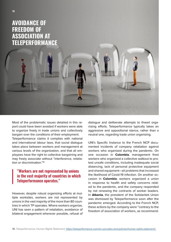

## **AVOIDANCE OF FREEDOM OF ASSOCIATION AT TELEPERFORMANCE**

Most of the problematic issues detailed in this report could have been avoided if workers were able to organize freely in trade unions and collectively bargain over the conditions of their employment. Teleperformance claims it complies with national and international labour laws, that social dialogue takes place between workers and management at various levels of the organization, and that all employees have the right to collective bargaining and may freely associate without "interference, retaliation or discrimination."18

### "Workers are not represented by unions in the vast majority of countries in which Teleperformance operates."

However, despite robust organizing efforts at multiple worksites, workers are not represented by unions in the vast majority of the more than 80 countries in which TP operates. Where workers organize, UNI has seen a pattern of retaliation, avoidance of bilateral engagement wherever possible, refusal of dialogue and deliberate attempts to thwart organizing efforts. Teleperformance typically takes an aggressive and oppositional stance, rather than a neutral one, regarding trade union organizing.

UNI's Specific Instance to the French NCP documented incidents of company retaliation against workers who organized during the pandemic. On one occasion in **Colombia**, management fired workers who organized a collective walkout to protest unsafe conditions, including inadequate social distancing, lack of personal protective equipment and shared equipment—all problems that increased the likelihood of Covid-19 infection. On another occasion in **Colombia**, workers organized a union in response to health and safety concerns related to the pandemic, and the company responded by not renewing the contracts of worker leaders. In **Albania**, the president of the Solidariteti Union was dismissed by Teleperformance soon after the pandemic emerged. According to the French NCP, these actions by the company were "contrary to the freedom of association of workers, as recommend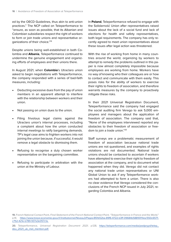ed by the OECD Guidelines, thus akin to anti-union practices." The NCP called on Teleperformance to "ensure, as soon as possible, that its Albanian and Colombian subsidiaries respect the right of workers to form or join trade unions and representative organizations of their choice."19

Despite unions being well-established in both Colombia and **Albania**, Teleperformance continued to undermine the genuine engagement and organizing efforts of employees and their unions there.

In August 2021, when **Colombia**'s Utraclaro union asked to begin negotiations with Teleperformance, the company responded with a series of bad-faith measures, including:

- Deducting excessive dues from the pay of union members in an apparent attempt to interfere with the relationship between workers and their union.
- Not passing on union dues to the union.
- Filing frivolous legal claims against the Utraclaro union's internal processes, including a complaint about how the union conducted internal meetings to ratify bargaining demands. TP's legal case aims to frighten workers into not joining the union because, if successful, it would remove a legal obstacle to dismissing them.
- Refusing to recognise a duly chosen worker representative on the bargaining committee.
- Refusing to participate in arbitration with the union at the Ministry of Labour.

In **Poland**, Teleperformance refused to engage with the Solidarność Union after representatives raised issues about the lack of a social fund and lack of elections for health and safety representatives, both legal requirements. The company has only recently agreed to meet union representatives about these issues after legal action was threatened.

With the rise of working from home in many countries around the world, organizing by workers to attempt to remedy the problems outlined in this paper is now almost completely impossible because employees are working from home. Workers have no way of knowing who their colleagues are or how to contact and communicate with them easily. This poses risks for the ability of workers to exercise their rights to freedom of association, and therefore warrants measures by the company to proactively mitigate these risks.

In their 2021 Universal Registration Document, Teleperformance said the company had engaged the social auditing firm Verego to ask 5,000 employees and managers about the application of freedom of association. The company said that, "None of the employees interviewed reported any obstacles to their freedom of association or freedom to join a trade union."20

Staff surveys are a problematic measurement of freedom of association because national trade unions are not questioned, and examples of rights violations are not documented. National trade unions should be contacted to ascertain if workers have attempted to exercise their right to freedom of association at the company, and to document what happened when they did. Verego did not contact any national trade union representatives or UNI Global Union to ask if any Teleperformance workers had attempted to form a union. There is also no clear evidence that Verego considered the conclusions of the French NCP issued in July 2021, regarding Colombia and Albania.

**19.** French National Contact Point, Final Statement of the French National Contact Point, "Teleperformance in France and the World," p.14. [https://www.tresor.economie.gouv.fr/Institutionnel/Niveau3/Pages/851b52ba-89f6-4722-b3ff-09684b58810f/files/550c6571](https://www.tresor.economie.gouv.fr/Institutionnel/Niveau3/Pages/851b52ba-89f6-4722-b3ff-09684b58810f/files/550c6571-c752-421e-b789-937a3e057c1a.) [c752-421e-b789-937a3e057c1a.](https://www.tresor.economie.gouv.fr/Institutionnel/Niveau3/Pages/851b52ba-89f6-4722-b3ff-09684b58810f/files/550c6571-c752-421e-b789-937a3e057c1a.)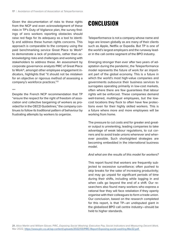Given the documentation of risks to these rights from the NCP and even acknowledgment of these risks in TP's Duty of Vigilance plan, the survey findings of zero workers reporting obstacles should raise red flags for its adequacy as a tool to identify and address these human rights concerns. This approach is comparable to the company using the paid benchmarking service Great Place to Work® to demonstrate a lack of problems, rather than acknowledging risks and challenges and working with stakeholders to address these. An assessment by corporate governance analysts PIRC of Great Place to Work®, amongst other employee engagement indicators, highlights that "it should not be mistaken for an objective or rigorous method of assessing a company's workforce practices."21

#### \*\*\*

Despite the French NCP recommendation that TP "ensure the respect for the right of freedom of association and collective bargaining of workers as provided for in the OECD Guidelines," the company continues to follow its traditional pattern of behaviour by frustrating attempts by workers to organize.

## **CONCLUSION**

Teleperformance is not a company whose name and logo are known globally as are many of their clients such as Apple, Netflix or Expedia. But TP is one of the world's largest employers and the runaway leader in the call centre segment of the BPO industry.

Emerging stronger than ever after two years of adaptation during the pandemic, the Teleperformance model represents the future of work for an important part of the global economy. This is a future in which the world's most high-value companies and governments outsource their business services to surrogates operating primarily in low-cost markets, often where there are few guarantees that labour rights will be enforced. These companies demand well-trained, multilingual employees, but the lowcost locations they flock to often have few protections even for their highly skilled workers. This is a future where more and more employees will be working from home.

The pressure to cut costs and for greater and greater output is unrelenting, leading companies to take advantage of weak labour regulations, to cut corners and to avoid trade unions whenever and wherever possible. Such shortsighted strategies are becoming embedded in the international business model.

#### And what are the results of this model for workers?

This report found that workers are frequently subjected to excessive surveillance; often pushed to skip breaks for the sake of increasing productivity; and may go unpaid for significant periods of time during their shifts, including while logging in and when calls go beyond the end of a shift. Our researchers also found many workers who express a rational fear they will face retaliation if they openly organise with their colleagues to form a trade union. Our conclusion, based on the research completed for this report, is that TP—an undisputed giant in the globalized BPO call centre industry—should be held to higher standards.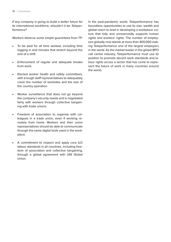If any company is going to build a better future for its international workforce, shouldn't it be Teleperformance?

Workers deserve some simple guarantees from TP:

- To be paid for all time worked, including time logging in and minutes that stretch beyond the end of a shift.
- Enforcement of regular and adequate breaks from work.
- Elected worker health and safety committees, with enough staff representatives to adequately cover the number of worksites and the size of the country operation.
- Worker surveillance that does not go beyond the company's security needs and is negotiated fairly with workers through collective bargaining with trade unions.
- Freedom of association to organise with colleagues in a trade union, even if working remotely from home. Workers and their union representatives should be able to communicate through the same digital tools used in the workplace.
- A commitment to respect and apply core ILO labour standards in all countries, including freedom of association and collective bargaining, through a global agreement with UNI Global Union.

In the post-pandemic world, Teleperformance has boundless opportunities to use its size, wealth and global reach to lead in developing a workplace culture that fully and unreservedly supports human rights and workers' rights. The number of employees globally now stands at more than 400,000 making Teleperformance one of the largest employers in the world. As the market leader in the global BPO call centre industry, Teleperformance must use its position to promote decent work standards and labour rights across a sector that has come to represent the future of work in many countries around the world.